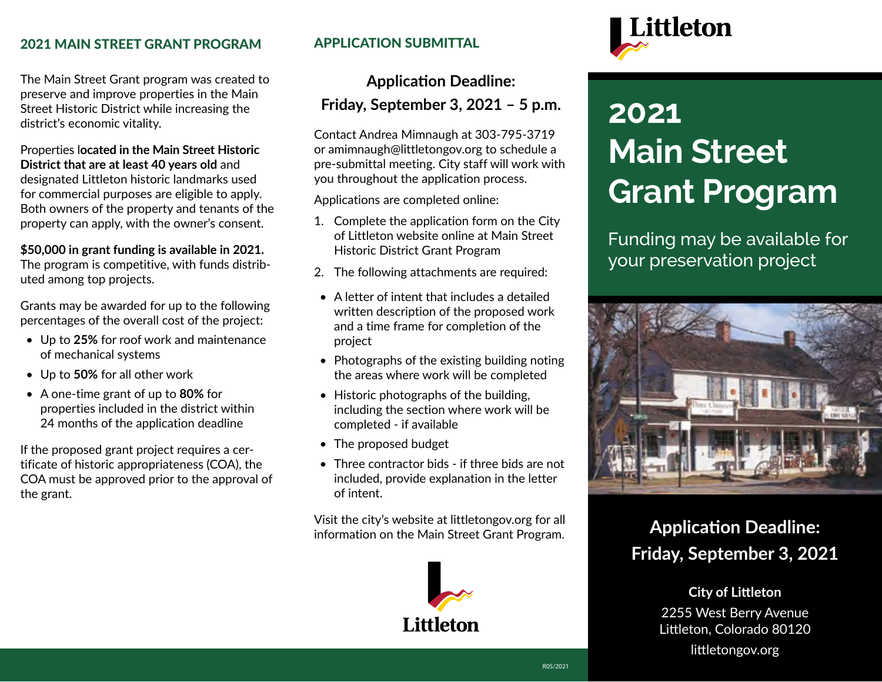## 2021 MAIN STREET GRANT PROGRAM

The Main Street Grant program was created to preserve and improve properties in the Main Street Historic District while increasing the district's economic vitality.

### Properties l**ocated in the Main Street Historic District that are at least 40 years old** and designated Littleton historic landmarks used for commercial purposes are eligible to apply. Both owners of the property and tenants of the property can apply, with the owner's consent.

#### **\$50,000 in grant funding is available in 2021.**

The program is competitive, with funds distributed among top projects.

Grants may be awarded for up to the following percentages of the overall cost of the project:

- Up to **25%** for roof work and maintenance of mechanical systems
- Up to **50%** for all other work
- A one-time grant of up to **80%** for properties included in the district within 24 months of the application deadline

If the proposed grant project requires a certificate of historic appropriateness (COA), the COA must be approved prior to the approval of the grant.

## APPLICATION SUBMITTAL

# **Application Deadline: Friday, September 3, 2021 – 5 p.m.**

Contact Andrea Mimnaugh at 303-795-3719 or amimnaugh@littletongov.org to schedule a pre-submittal meeting. City staff will work with you throughout the application process.

Applications are completed online:

- 1. Complete the application form on the City of Littleton website online at Main Street Historic District Grant Program
- 2. The following attachments are required:
- A letter of intent that includes a detailed written description of the proposed work and a time frame for completion of the project
- Photographs of the existing building noting the areas where work will be completed
- Historic photographs of the building, including the section where work will be completed - if available
- The proposed budget
- Three contractor bids if three bids are not included, provide explanation in the letter of intent.

Visit the city's website at littletongov.org for all information on the Main Street Grant Program.





# **2021 Main Street Grant Program**

Funding may be available for your preservation project



# **Application Deadline: Friday, September 3, 2021**

## **City of Littleton**

2255 West Berry Avenue Littleton, Colorado 80120

littletongov.org